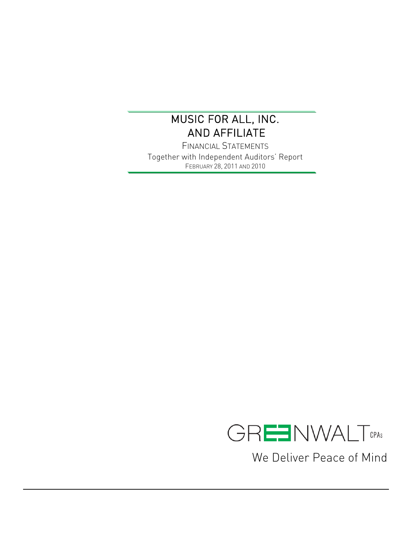FINANCIAL STATEMENTS Together with Independent Auditors' Report FEBRUARY 28, 2011 AND 2010



We Deliver Peace of Mind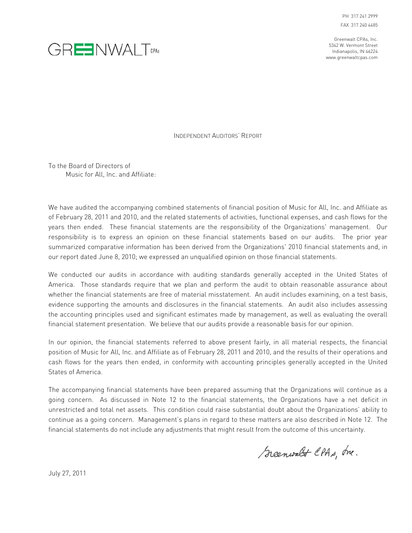



INDEPENDENT AUDITORS' REPORT

To the Board of Directors of Music for All, Inc. and Affiliate:

We have audited the accompanying combined statements of financial position of Music for All, Inc. and Affiliate as of February 28, 2011 and 2010, and the related statements of activities, functional expenses, and cash flows for the years then ended. These financial statements are the responsibility of the Organizations' management. Our responsibility is to express an opinion on these financial statements based on our audits. The prior year summarized comparative information has been derived from the Organizations' 2010 financial statements and, in our report dated June 8, 2010; we expressed an unqualified opinion on those financial statements.

We conducted our audits in accordance with auditing standards generally accepted in the United States of America. Those standards require that we plan and perform the audit to obtain reasonable assurance about whether the financial statements are free of material misstatement. An audit includes examining, on a test basis, evidence supporting the amounts and disclosures in the financial statements. An audit also includes assessing the accounting principles used and significant estimates made by management, as well as evaluating the overall financial statement presentation. We believe that our audits provide a reasonable basis for our opinion.

In our opinion, the financial statements referred to above present fairly, in all material respects, the financial position of Music for All, Inc. and Affiliate as of February 28, 2011 and 2010, and the results of their operations and cash flows for the years then ended, in conformity with accounting principles generally accepted in the United States of America.

The accompanying financial statements have been prepared assuming that the Organizations will continue as a going concern. As discussed in Note 12 to the financial statements, the Organizations have a net deficit in unrestricted and total net assets. This condition could raise substantial doubt about the Organizations' ability to continue as a going concern. Management's plans in regard to these matters are also described in Note 12. The financial statements do not include any adjustments that might result from the outcome of this uncertainty.

Scenwalt CPAs, Inc.

July 27, 2011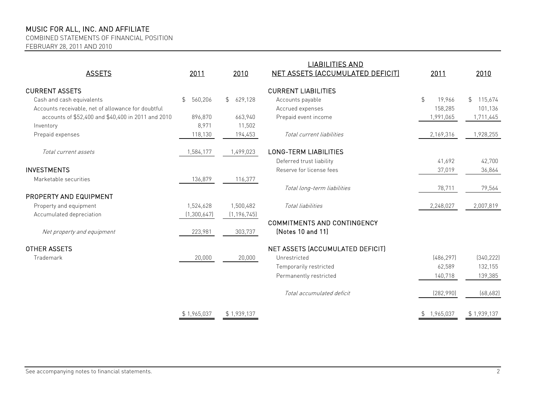COMBINED STATEMENTS OF FINANCIAL POSITION

FEBRUARY 28, 2011 AND 2010

| <b>ASSETS</b>                                      | 2011                      | 2010                      | <b>LIABILITIES AND</b><br><b>NET ASSETS (ACCUMULATED DEFICIT)</b> | 2011                    | 2010                        |
|----------------------------------------------------|---------------------------|---------------------------|-------------------------------------------------------------------|-------------------------|-----------------------------|
| <b>CURRENT ASSETS</b>                              |                           |                           | <b>CURRENT LIABILITIES</b>                                        |                         |                             |
| Cash and cash equivalents                          | 560,206<br>$\mathfrak{L}$ | 629,128<br>$\mathfrak{L}$ | Accounts payable                                                  | $\frac{1}{2}$<br>19,966 | $\mathfrak{L}^-$<br>115,674 |
| Accounts receivable, net of allowance for doubtful |                           |                           | Accrued expenses                                                  | 158,285                 | 101,136                     |
| accounts of \$52,400 and \$40,400 in 2011 and 2010 | 896,870                   | 663,940                   | Prepaid event income                                              | 1,991,065               | 1,711,445                   |
| Inventory                                          | 8,971                     | 11,502                    |                                                                   |                         |                             |
| Prepaid expenses                                   | 118,130                   | 194,453                   | Total current liabilities                                         | 2,169,316               | 1,928,255                   |
| Total current assets                               | 1,584,177                 | 1,499,023                 | <b>LONG-TERM LIABILITIES</b>                                      |                         |                             |
|                                                    |                           |                           | Deferred trust liability                                          | 41,692                  | 42,700                      |
| <b>INVESTMENTS</b>                                 |                           |                           | Reserve for license fees                                          | 37,019                  | 36,864                      |
| Marketable securities                              | 136,879                   | 116,377                   |                                                                   |                         |                             |
|                                                    |                           |                           | Total long-term liabilities                                       | 78,711                  | 79,564                      |
| PROPERTY AND EQUIPMENT                             |                           |                           |                                                                   |                         |                             |
| Property and equipment                             | 1,524,628                 | 1,500,482                 | Total liabilities                                                 | 2,248,027               | 2,007,819                   |
| Accumulated depreciation                           | (1, 300, 647)             | (1, 196, 745)             |                                                                   |                         |                             |
|                                                    |                           |                           | <b>COMMITMENTS AND CONTINGENCY</b>                                |                         |                             |
| Net property and equipment                         | 223,981                   | 303,737                   | (Notes 10 and 11)                                                 |                         |                             |
| <b>OTHER ASSETS</b>                                |                           |                           | NET ASSETS (ACCUMULATED DEFICIT)                                  |                         |                             |
| Trademark                                          | 20,000                    | 20,000                    | Unrestricted                                                      | [486, 297]              | [340, 222]                  |
|                                                    |                           |                           | Temporarily restricted                                            | 62,589                  | 132,155                     |
|                                                    |                           |                           | Permanently restricted                                            | 140,718                 | 139,385                     |
|                                                    |                           |                           |                                                                   |                         |                             |
|                                                    |                           |                           | Total accumulated deficit                                         | (282,990)               | (68, 682)                   |
|                                                    | \$1,965,037               | \$1,939,137               |                                                                   | \$1,965,037             | \$1,939,137                 |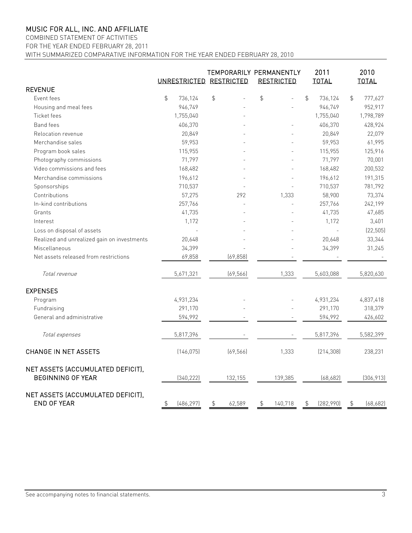COMBINED STATEMENT OF ACTIVITIES FOR THE YEAR ENDED FEBRUARY 28, 2011

WITH SUMMARIZED COMPARATIVE INFORMATION FOR THE YEAR ENDED FEBRUARY 28, 2010

|                                                               | UNRESTRICTED RESTRICTED |            |               |           | TEMPORARILY PERMANENTLY<br><b>RESTRICTED</b> |         | 2011<br><b>TOTAL</b> |            | 2010<br><b>TOTAL</b> |            |
|---------------------------------------------------------------|-------------------------|------------|---------------|-----------|----------------------------------------------|---------|----------------------|------------|----------------------|------------|
| <b>REVENUE</b>                                                |                         |            |               |           |                                              |         |                      |            |                      |            |
| Event fees                                                    | $\frac{1}{2}$           | 736,124    | $\frac{1}{2}$ |           | \$                                           |         | $\mathfrak{P}$       | 736,124    | $\frac{1}{2}$        | 777,627    |
| Housing and meal fees                                         |                         | 946,749    |               |           |                                              |         |                      | 946,749    |                      | 952,917    |
| <b>Ticket fees</b>                                            |                         | 1,755,040  |               |           |                                              |         |                      | 1,755,040  |                      | 1,798,789  |
| <b>Band fees</b>                                              |                         | 406,370    |               |           |                                              |         |                      | 406,370    |                      | 428,924    |
| Relocation revenue                                            |                         | 20,849     |               |           |                                              |         |                      | 20,849     |                      | 22,079     |
| Merchandise sales                                             |                         | 59,953     |               |           |                                              |         |                      | 59,953     |                      | 61,995     |
| Program book sales                                            |                         | 115,955    |               |           |                                              |         |                      | 115,955    |                      | 125,916    |
| Photography commissions                                       |                         | 71,797     |               |           |                                              |         |                      | 71,797     |                      | 70,001     |
| Video commissions and fees                                    |                         | 168,482    |               |           |                                              |         |                      | 168,482    |                      | 200,532    |
| Merchandise commissions                                       |                         | 196,612    |               |           |                                              |         |                      | 196,612    |                      | 191,315    |
| Sponsorships                                                  |                         | 710,537    |               |           |                                              |         |                      | 710,537    |                      | 781,792    |
| Contributions                                                 |                         | 57,275     |               | 292       |                                              | 1,333   |                      | 58,900     |                      | 73,374     |
| In-kind contributions                                         |                         | 257,766    |               |           |                                              |         |                      | 257,766    |                      | 242,199    |
| Grants                                                        |                         | 41,735     |               |           |                                              |         |                      | 41,735     |                      | 47,685     |
| Interest                                                      |                         | 1,172      |               |           |                                              |         |                      | 1,172      |                      | 3,401      |
| Loss on disposal of assets                                    |                         |            |               |           |                                              |         |                      |            |                      | (22, 505)  |
| Realized and unrealized gain on investments                   |                         | 20,648     |               |           |                                              |         |                      | 20,648     |                      | 33,344     |
| Miscellaneous                                                 |                         | 34,399     |               |           |                                              |         |                      | 34,399     |                      | 31,245     |
| Net assets released from restrictions                         |                         | 69,858     |               | (69, 858) |                                              |         |                      |            |                      |            |
| Total revenue                                                 |                         | 5,671,321  |               | (69, 566) |                                              | 1,333   |                      | 5,603,088  |                      | 5,820,630  |
| <b>EXPENSES</b>                                               |                         |            |               |           |                                              |         |                      |            |                      |            |
| Program                                                       |                         | 4,931,234  |               |           |                                              |         |                      | 4,931,234  |                      | 4,837,418  |
| Fundraising                                                   |                         | 291,170    |               |           |                                              |         |                      | 291,170    |                      | 318,379    |
| General and administrative                                    |                         | 594,992    |               |           |                                              |         |                      | 594,992    |                      | 426,602    |
| Total expenses                                                |                         | 5,817,396  |               |           |                                              |         |                      | 5,817,396  |                      | 5,582,399  |
| <b>CHANGE IN NET ASSETS</b>                                   |                         | (146, 075) |               | (69, 566) |                                              | 1,333   |                      | [214, 308] |                      | 238,231    |
| NET ASSETS (ACCUMULATED DEFICIT),<br><b>BEGINNING OF YEAR</b> |                         | (340, 222) |               | 132,155   |                                              | 139,385 |                      | (68, 682)  |                      | (306, 913) |
| NET ASSETS (ACCUMULATED DEFICIT),<br><b>END OF YEAR</b>       | \$                      | [486, 297] | \$            | 62,589    | \$                                           | 140,718 | $\updownarrow$       | (282,990)  | $\updownarrow$       | (68, 682)  |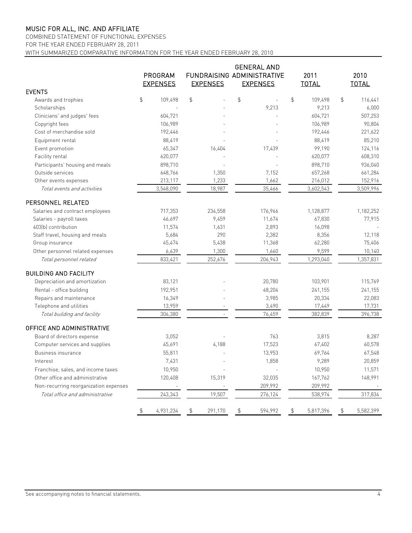## COMBINED STATEMENT OF FUNCTIONAL EXPENSES

FOR THE YEAR ENDED FEBRUARY 28, 2011

WITH SUMMARIZED COMPARATIVE INFORMATION FOR THE YEAR ENDED FEBRUARY 28, 2010

|                                       | <b>GENERAL AND</b> |                 |    |                 |    |                                   |    |              |               |              |
|---------------------------------------|--------------------|-----------------|----|-----------------|----|-----------------------------------|----|--------------|---------------|--------------|
|                                       |                    | PROGRAM         |    |                 |    | <b>FUNDRAISING ADMINISTRATIVE</b> |    | 2011         |               | 2010         |
|                                       |                    | <b>EXPENSES</b> |    | <b>EXPENSES</b> |    | <b>EXPENSES</b>                   |    | <b>TOTAL</b> |               | <b>TOTAL</b> |
| <b>EVENTS</b>                         |                    |                 |    |                 |    |                                   |    |              |               |              |
| Awards and trophies                   | \$                 | 109,498         | \$ |                 | \$ |                                   | \$ | 109,498      | $\frac{4}{5}$ | 116,441      |
| Scholarships                          |                    |                 |    |                 |    | 9,213                             |    | 9,213        |               | 6,000        |
| Clinicians' and judges' fees          |                    | 604,721         |    |                 |    |                                   |    | 604,721      |               | 507,253      |
| Copyright fees                        |                    | 106,989         |    |                 |    |                                   |    | 106,989      |               | 90,804       |
| Cost of merchandise sold              |                    | 192,446         |    |                 |    |                                   |    | 192,446      |               | 221,622      |
| Equipment rental                      |                    | 88,419          |    |                 |    |                                   |    | 88,419       |               | 85,210       |
| Event promotion                       |                    | 65,347          |    | 16,404          |    | 17,439                            |    | 99,190       |               | 124,116      |
| Facility rental                       |                    | 620,077         |    |                 |    |                                   |    | 620,077      |               | 608,310      |
| Participants' housing and meals       |                    | 898,710         |    |                 |    |                                   |    | 898,710      |               | 936,040      |
| Outside services                      |                    | 648,766         |    | 1,350           |    | 7,152                             |    | 657,268      |               | 661,284      |
| Other events expenses                 |                    | 213,117         |    | 1,233           |    | 1,662                             |    | 216,012      |               | 152,916      |
| Total events and activities           |                    | 3,548,090       |    | 18,987          |    | 35,466                            |    | 3,602,543    |               | 3,509,996    |
| PERSONNEL RELATED                     |                    |                 |    |                 |    |                                   |    |              |               |              |
| Salaries and contract employees       |                    | 717,353         |    | 234,558         |    | 176,966                           |    | 1,128,877    |               | 1,182,252    |
| Salaries - payroll taxes              |                    | 46,697          |    | 9,459           |    | 11,674                            |    | 67,830       |               | 77,915       |
| 403(b) contribution                   |                    | 11,574          |    | 1,631           |    | 2,893                             |    | 16,098       |               |              |
| Staff travel, housing and meals       |                    | 5,684           |    | 290             |    | 2,382                             |    | 8,356        |               | 12,118       |
| Group insurance                       |                    | 45,474          |    | 5,438           |    | 11,368                            |    | 62,280       |               | 75,406       |
| Other personnel related expenses      |                    | 6,639           |    | 1,300           |    | 1,660                             |    | 9,599        |               | 10,140       |
| Total personnel related               |                    | 833,421         |    | 252,676         |    | 206,943                           |    | 1,293,040    |               | 1,357,831    |
| <b>BUILDING AND FACILITY</b>          |                    |                 |    |                 |    |                                   |    |              |               |              |
| Depreciation and amortization         |                    | 83,121          |    |                 |    | 20,780                            |    | 103,901      |               | 115,769      |
| Rental - office building              |                    | 192,951         |    |                 |    | 48,204                            |    | 241,155      |               | 241,155      |
| Repairs and maintenance               |                    | 16,349          |    |                 |    | 3,985                             |    | 20,334       |               | 22,083       |
| Telephone and utilities               |                    | 13,959          |    |                 |    | 3,490                             |    | 17,449       |               | 17,731       |
| Total building and facility           |                    | 306,380         |    | $\overline{a}$  |    | 76,459                            |    | 382,839      |               | 396,738      |
| OFFICE AND ADMINISTRATIVE             |                    |                 |    |                 |    |                                   |    |              |               |              |
| Board of directors expense            |                    | 3,052           |    |                 |    | 763                               |    | 3,815        |               | 8,287        |
| Computer services and supplies        |                    | 45,691          |    | 4,188           |    | 17,523                            |    | 67,402       |               | 60,578       |
| Business insurance                    |                    | 55,811          |    |                 |    | 13,953                            |    | 69,764       |               | 67,548       |
| Interest                              |                    | 7,431           |    |                 |    | 1.858                             |    | 9,289        |               | 20,859       |
| Franchise, sales, and income taxes    |                    | 10,950          |    |                 |    |                                   |    | 10,950       |               | 11,571       |
| Other office and administrative       |                    | 120,408         |    | 15,319          |    | 32,035                            |    | 167,762      |               | 148,991      |
| Non-recurring reorganization expenses |                    |                 |    |                 |    | 209,992                           |    | 209,992      |               |              |
| Total office and administrative       |                    | 243,343         |    | 19,507          |    | 276,124                           |    | 538,974      |               | 317,834      |
|                                       | \$                 | 4,931,234       | \$ | 291,170         | \$ | 594,992                           | \$ | 5,817,396    | \$            | 5,582,399    |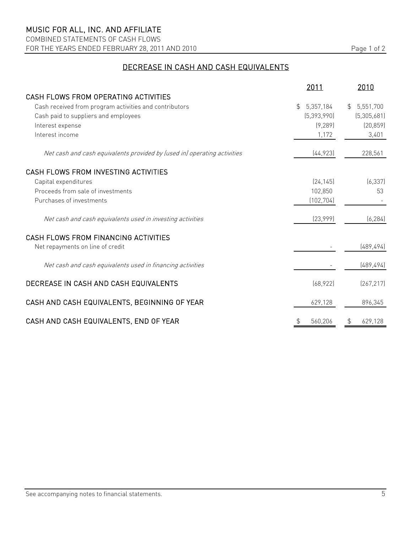COMBINED STATEMENTS OF CASH FLOWS FOR THE YEARS ENDED FEBRUARY 28, 2011 AND 2010 Page 1 of 2

## DECREASE IN CASH AND CASH EQUIVALENTS

|                                                                          | 2011            | 2010          |
|--------------------------------------------------------------------------|-----------------|---------------|
| CASH FLOWS FROM OPERATING ACTIVITIES                                     |                 |               |
| Cash received from program activities and contributors                   | 5,357,184<br>\$ | \$5,551,700   |
| Cash paid to suppliers and employees                                     | (5,393,990)     | (5,305,681)   |
| Interest expense                                                         | (9, 289)        | (20, 859)     |
| Interest income                                                          | 1,172           | 3,401         |
| Net cash and cash equivalents provided by (used in) operating activities | [44, 923]       | 228,561       |
| CASH FLOWS FROM INVESTING ACTIVITIES                                     |                 |               |
| Capital expenditures                                                     | [24, 145]       | (6, 337)      |
| Proceeds from sale of investments                                        | 102,850         | 53            |
| Purchases of investments                                                 | (102, 704)      |               |
| Net cash and cash equivalents used in investing activities               | [23,999]        | (6, 284)      |
| CASH FLOWS FROM FINANCING ACTIVITIES                                     |                 |               |
| Net repayments on line of credit                                         |                 | (489, 494)    |
| Net cash and cash equivalents used in financing activities               |                 | (489, 494)    |
| DECREASE IN CASH AND CASH EQUIVALENTS                                    | (68, 922)       | [267, 217]    |
| CASH AND CASH EQUIVALENTS, BEGINNING OF YEAR                             | 629,128         | 896,345       |
| CASH AND CASH EQUIVALENTS, END OF YEAR                                   | \$<br>560,206   | 629,128<br>\$ |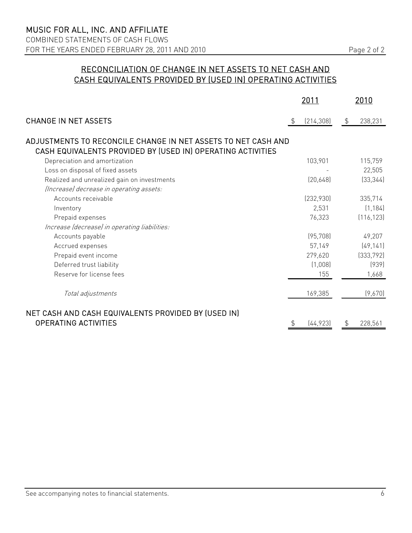## RECONCILIATION OF CHANGE IN NET ASSETS TO NET CASH AND CASH EQUIVALENTS PROVIDED BY (USED IN) OPERATING ACTIVITIES

|                                                                                                                              | <u> 2011 </u>    | <u> 2010 </u> |
|------------------------------------------------------------------------------------------------------------------------------|------------------|---------------|
| <b>CHANGE IN NET ASSETS</b>                                                                                                  | \$<br>(214, 308) | \$<br>238,231 |
| ADJUSTMENTS TO RECONCILE CHANGE IN NET ASSETS TO NET CASH AND<br>CASH EQUIVALENTS PROVIDED BY (USED IN) OPERATING ACTIVITIES |                  |               |
| Depreciation and amortization                                                                                                | 103,901          | 115,759       |
| Loss on disposal of fixed assets                                                                                             |                  | 22,505        |
| Realized and unrealized gain on investments                                                                                  | [20,648]         | (33, 344)     |
| (Increase) decrease in operating assets:                                                                                     |                  |               |
| Accounts receivable                                                                                                          | (232,930)        | 335,714       |
| Inventory                                                                                                                    | 2,531            | (1, 184)      |
| Prepaid expenses                                                                                                             | 76,323           | (116, 123)    |
| Increase (decrease) in operating liabilities:                                                                                |                  |               |
| Accounts payable                                                                                                             | (95, 708)        | 49,207        |
| Accrued expenses                                                                                                             | 57,149           | (49, 141)     |
| Prepaid event income                                                                                                         | 279,620          | (333, 792)    |
| Deferred trust liability                                                                                                     | (1,008)          | (939)         |
| Reserve for license fees                                                                                                     | 155              | 1,668         |
| Total adjustments                                                                                                            | 169,385          | (9,670)       |
| NET CASH AND CASH EQUIVALENTS PROVIDED BY (USED IN)<br><b>OPERATING ACTIVITIES</b>                                           | (44, 923)        | \$<br>228,561 |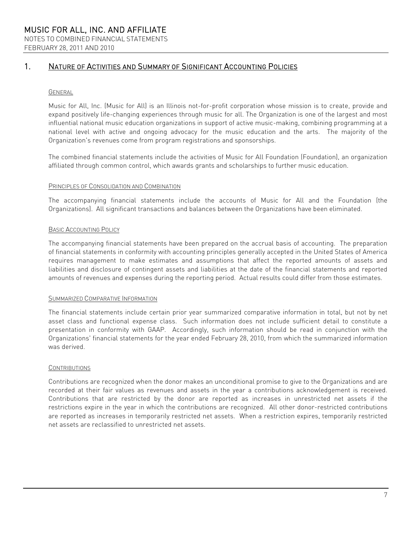## 1. NATURE OF ACTIVITIES AND SUMMARY OF SIGNIFICANT ACCOUNTING POLICIES

### GENERAL

Music for All, Inc. (Music for All) is an Illinois not-for-profit corporation whose mission is to create, provide and expand positively life-changing experiences through music for all. The Organization is one of the largest and most influential national music education organizations in support of active music-making, combining programming at a national level with active and ongoing advocacy for the music education and the arts. The majority of the Organization's revenues come from program registrations and sponsorships.

The combined financial statements include the activities of Music for All Foundation (Foundation), an organization affiliated through common control, which awards grants and scholarships to further music education.

#### PRINCIPLES OF CONSOLIDATION AND COMBINATION

The accompanying financial statements include the accounts of Music for All and the Foundation (the Organizations). All significant transactions and balances between the Organizations have been eliminated.

### BASIC ACCOUNTING POLICY

The accompanying financial statements have been prepared on the accrual basis of accounting. The preparation of financial statements in conformity with accounting principles generally accepted in the United States of America requires management to make estimates and assumptions that affect the reported amounts of assets and liabilities and disclosure of contingent assets and liabilities at the date of the financial statements and reported amounts of revenues and expenses during the reporting period. Actual results could differ from those estimates.

#### SUMMARIZED COMPARATIVE INFORMATION

The financial statements include certain prior year summarized comparative information in total, but not by net asset class and functional expense class. Such information does not include sufficient detail to constitute a presentation in conformity with GAAP. Accordingly, such information should be read in conjunction with the Organizations' financial statements for the year ended February 28, 2010, from which the summarized information was derived.

#### **CONTRIBUTIONS**

Contributions are recognized when the donor makes an unconditional promise to give to the Organizations and are recorded at their fair values as revenues and assets in the year a contributions acknowledgement is received. Contributions that are restricted by the donor are reported as increases in unrestricted net assets if the restrictions expire in the year in which the contributions are recognized. All other donor-restricted contributions are reported as increases in temporarily restricted net assets. When a restriction expires, temporarily restricted net assets are reclassified to unrestricted net assets.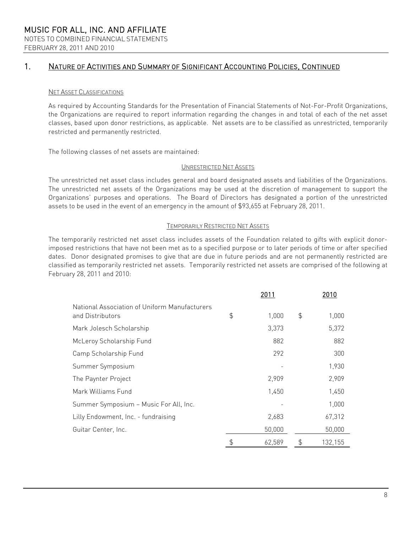## 1. NATURE OF ACTIVITIES AND SUMMARY OF SIGNIFICANT ACCOUNTING POLICIES, CONTINUED

### NET ASSET CLASSIFICATIONS

As required by Accounting Standards for the Presentation of Financial Statements of Not-For-Profit Organizations, the Organizations are required to report information regarding the changes in and total of each of the net asset classes, based upon donor restrictions, as applicable. Net assets are to be classified as unrestricted, temporarily restricted and permanently restricted.

The following classes of net assets are maintained:

### UNRESTRICTED NET ASSETS

The unrestricted net asset class includes general and board designated assets and liabilities of the Organizations. The unrestricted net assets of the Organizations may be used at the discretion of management to support the Organizations' purposes and operations. The Board of Directors has designated a portion of the unrestricted assets to be used in the event of an emergency in the amount of \$93,655 at February 28, 2011.

#### TEMPORARILY RESTRICTED NET ASSETS

The temporarily restricted net asset class includes assets of the Foundation related to gifts with explicit donorimposed restrictions that have not been met as to a specified purpose or to later periods of time or after specified dates. Donor designated promises to give that are due in future periods and are not permanently restricted are classified as temporarily restricted net assets. Temporarily restricted net assets are comprised of the following at February 28, 2011 and 2010:

|                                                                   |               | 2010   |               |
|-------------------------------------------------------------------|---------------|--------|---------------|
| National Association of Uniform Manufacturers<br>and Distributors | $\frac{4}{5}$ | 1,000  | \$<br>1,000   |
| Mark Jolesch Scholarship                                          |               | 3,373  | 5,372         |
| McLeroy Scholarship Fund                                          |               | 882    | 882           |
| Camp Scholarship Fund                                             |               | 292    | 300           |
| Summer Symposium                                                  |               |        | 1,930         |
| The Paynter Project                                               |               | 2,909  | 2,909         |
| Mark Williams Fund                                                |               | 1,450  | 1,450         |
| Summer Symposium - Music For All, Inc.                            |               |        | 1,000         |
| Lilly Endowment, Inc. - fundraising                               |               | 2,683  | 67,312        |
| Guitar Center, Inc.                                               |               | 50,000 | 50,000        |
|                                                                   | \$            | 62,589 | \$<br>132,155 |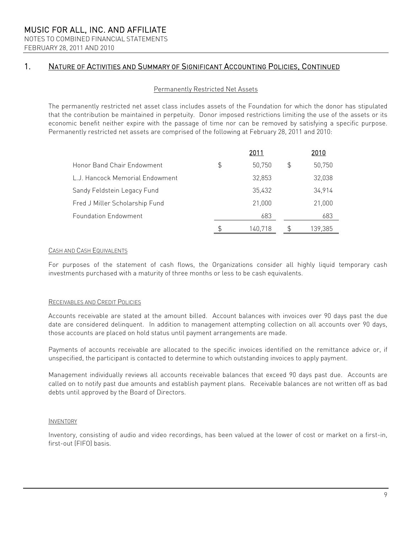FEBRUARY 28, 2011 AND 2010

## 1. NATURE OF ACTIVITIES AND SUMMARY OF SIGNIFICANT ACCOUNTING POLICIES, CONTINUED

### Permanently Restricted Net Assets

The permanently restricted net asset class includes assets of the Foundation for which the donor has stipulated that the contribution be maintained in perpetuity. Donor imposed restrictions limiting the use of the assets or its economic benefit neither expire with the passage of time nor can be removed by satisfying a specific purpose. Permanently restricted net assets are comprised of the following at February 28, 2011 and 2010:

|                                 |                | 2011    |   | 2010    |
|---------------------------------|----------------|---------|---|---------|
| Honor Band Chair Endowment      | $\mathfrak{S}$ | 50,750  | S | 50,750  |
| L.J. Hancock Memorial Endowment |                | 32.853  |   | 32,038  |
| Sandy Feldstein Legacy Fund     |                | 35,432  |   | 34,914  |
| Fred J Miller Scholarship Fund  |                | 21,000  |   | 21,000  |
| <b>Foundation Endowment</b>     |                | 683     |   | 683     |
|                                 | \$             | 140,718 | Ъ | 139,385 |

### CASH AND CASH EQUIVALENTS

For purposes of the statement of cash flows, the Organizations consider all highly liquid temporary cash investments purchased with a maturity of three months or less to be cash equivalents.

### RECEIVABLES AND CREDIT POLICIES

Accounts receivable are stated at the amount billed. Account balances with invoices over 90 days past the due date are considered delinquent. In addition to management attempting collection on all accounts over 90 days, those accounts are placed on hold status until payment arrangements are made.

Payments of accounts receivable are allocated to the specific invoices identified on the remittance advice or, if unspecified, the participant is contacted to determine to which outstanding invoices to apply payment.

Management individually reviews all accounts receivable balances that exceed 90 days past due. Accounts are called on to notify past due amounts and establish payment plans. Receivable balances are not written off as bad debts until approved by the Board of Directors.

#### INVENTORY

Inventory, consisting of audio and video recordings, has been valued at the lower of cost or market on a first-in, first-out (FIFO) basis.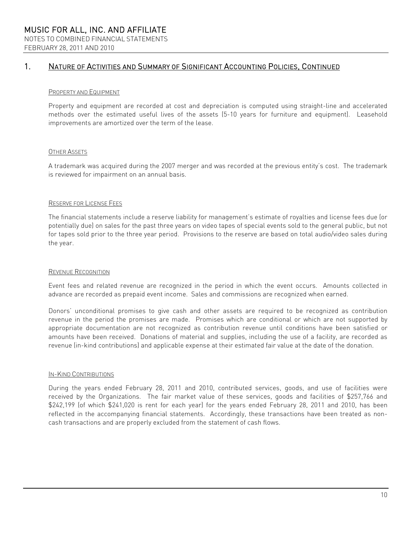## 1. NATURE OF ACTIVITIES AND SUMMARY OF SIGNIFICANT ACCOUNTING POLICIES, CONTINUED

### PROPERTY AND EQUIPMENT

Property and equipment are recorded at cost and depreciation is computed using straight-line and accelerated methods over the estimated useful lives of the assets (5-10 years for furniture and equipment). Leasehold improvements are amortized over the term of the lease.

### OTHER ASSETS

A trademark was acquired during the 2007 merger and was recorded at the previous entity's cost. The trademark is reviewed for impairment on an annual basis.

### RESERVE FOR LICENSE FEES

The financial statements include a reserve liability for management's estimate of royalties and license fees due (or potentially due) on sales for the past three years on video tapes of special events sold to the general public, but not for tapes sold prior to the three year period. Provisions to the reserve are based on total audio/video sales during the year.

### REVENUE RECOGNITION

Event fees and related revenue are recognized in the period in which the event occurs. Amounts collected in advance are recorded as prepaid event income. Sales and commissions are recognized when earned.

Donors' unconditional promises to give cash and other assets are required to be recognized as contribution revenue in the period the promises are made. Promises which are conditional or which are not supported by appropriate documentation are not recognized as contribution revenue until conditions have been satisfied or amounts have been received. Donations of material and supplies, including the use of a facility, are recorded as revenue (in-kind contributions) and applicable expense at their estimated fair value at the date of the donation.

#### IN-KIND CONTRIBUTIONS

During the years ended February 28, 2011 and 2010, contributed services, goods, and use of facilities were received by the Organizations. The fair market value of these services, goods and facilities of \$257,766 and \$242,199 (of which \$241,020 is rent for each year) for the years ended February 28, 2011 and 2010, has been reflected in the accompanying financial statements. Accordingly, these transactions have been treated as noncash transactions and are properly excluded from the statement of cash flows.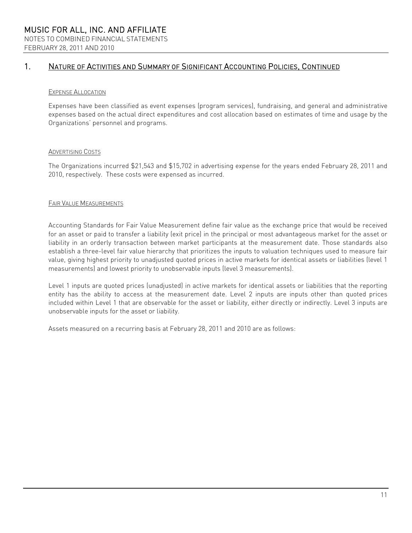## 1. NATURE OF ACTIVITIES AND SUMMARY OF SIGNIFICANT ACCOUNTING POLICIES, CONTINUED

### EXPENSE ALLOCATION

Expenses have been classified as event expenses (program services), fundraising, and general and administrative expenses based on the actual direct expenditures and cost allocation based on estimates of time and usage by the Organizations' personnel and programs.

### ADVERTISING COSTS

The Organizations incurred \$21,543 and \$15,702 in advertising expense for the years ended February 28, 2011 and 2010, respectively. These costs were expensed as incurred.

### FAIR VALUE MEASUREMENTS

Accounting Standards for Fair Value Measurement define fair value as the exchange price that would be received for an asset or paid to transfer a liability (exit price) in the principal or most advantageous market for the asset or liability in an orderly transaction between market participants at the measurement date. Those standards also establish a three-level fair value hierarchy that prioritizes the inputs to valuation techniques used to measure fair value, giving highest priority to unadjusted quoted prices in active markets for identical assets or liabilities (level 1 measurements) and lowest priority to unobservable inputs (level 3 measurements).

Level 1 inputs are quoted prices (unadjusted) in active markets for identical assets or liabilities that the reporting entity has the ability to access at the measurement date. Level 2 inputs are inputs other than quoted prices included within Level 1 that are observable for the asset or liability, either directly or indirectly. Level 3 inputs are unobservable inputs for the asset or liability.

Assets measured on a recurring basis at February 28, 2011 and 2010 are as follows: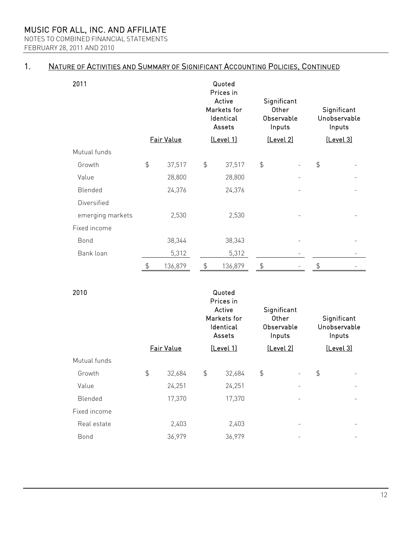NOTES TO COMBINED FINANCIAL STATEMENTS FEBRUARY 28, 2011 AND 2010

#### 1. NATURE OF ACTIVITIES AND SUMMARY OF SIGNIFICANT ACCOUNTING POLICIES, CONTINUED

| 2011             |               |            |                | Quoted<br>Prices in<br>Active<br>Markets for<br>Identical<br>Assets |               | Significant<br>Other<br>Observable<br>Inputs | Significant<br>Unobservable<br>Inputs |  |  |
|------------------|---------------|------------|----------------|---------------------------------------------------------------------|---------------|----------------------------------------------|---------------------------------------|--|--|
|                  |               | Fair Value |                | [Level 1]                                                           |               | [Level 2]                                    | [Level 3]                             |  |  |
| Mutual funds     |               |            |                |                                                                     |               |                                              |                                       |  |  |
| Growth           | $\frac{4}{5}$ | 37,517     | $\frac{4}{5}$  | 37,517                                                              | $\frac{4}{5}$ |                                              | $\frac{4}{5}$                         |  |  |
| Value            |               | 28,800     |                | 28,800                                                              |               |                                              |                                       |  |  |
| Blended          |               | 24,376     |                | 24,376                                                              |               |                                              |                                       |  |  |
| Diversified      |               |            |                |                                                                     |               |                                              |                                       |  |  |
| emerging markets |               | 2,530      |                | 2,530                                                               |               |                                              |                                       |  |  |
| Fixed income     |               |            |                |                                                                     |               |                                              |                                       |  |  |
| Bond             |               | 38,344     |                | 38,343                                                              |               |                                              |                                       |  |  |
| Bank loan        |               | 5,312      |                | 5,312                                                               |               |                                              |                                       |  |  |
|                  | \$            | 136,879    | $\updownarrow$ | 136,879                                                             | \$            |                                              | \$                                    |  |  |

| 2010         |               |            |               | Quoted<br>Prices in<br>Active<br>Markets for<br>Identical<br>Assets | Significant<br><b>Other</b><br>Observable<br>Inputs |                          | Significant<br>Unobservable<br>Inputs |  |  |
|--------------|---------------|------------|---------------|---------------------------------------------------------------------|-----------------------------------------------------|--------------------------|---------------------------------------|--|--|
|              |               | Fair Value | [Level 1]     |                                                                     | [Level 2]                                           |                          | [Level 3]                             |  |  |
| Mutual funds |               |            |               |                                                                     |                                                     |                          |                                       |  |  |
| Growth       | $\frac{4}{5}$ | 32,684     | $\frac{4}{5}$ | 32,684                                                              | $\frac{4}{5}$                                       | $\overline{\phantom{a}}$ | $\frac{4}{5}$                         |  |  |
| Value        |               | 24,251     |               | 24,251                                                              |                                                     |                          |                                       |  |  |
| Blended      |               | 17,370     |               | 17,370                                                              |                                                     |                          |                                       |  |  |
| Fixed income |               |            |               |                                                                     |                                                     |                          |                                       |  |  |
| Real estate  |               | 2,403      |               | 2,403                                                               |                                                     | -                        |                                       |  |  |
| Bond         |               | 36,979     |               | 36,979                                                              |                                                     |                          |                                       |  |  |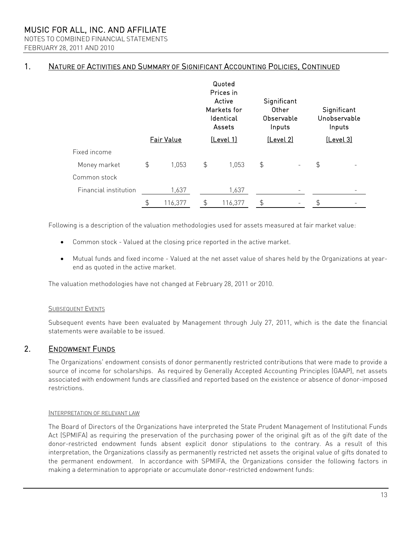NOTES TO COMBINED FINANCIAL STATEMENTS FEBRUARY 28, 2011 AND 2010

## 1. NATURE OF ACTIVITIES AND SUMMARY OF SIGNIFICANT ACCOUNTING POLICIES, CONTINUED

|                       |               |                   |                  | Quoted<br>Prices in<br>Active<br>Markets for<br>Identical<br>Assets |               | Significant<br>Other<br>Observable<br>Inputs | Significant<br>Unobservable<br>Inputs |  |  |
|-----------------------|---------------|-------------------|------------------|---------------------------------------------------------------------|---------------|----------------------------------------------|---------------------------------------|--|--|
|                       |               | <b>Fair Value</b> | <u>(Level 1)</u> |                                                                     | [Level 2]     |                                              | [Level 3]                             |  |  |
| Fixed income          |               |                   |                  |                                                                     |               |                                              |                                       |  |  |
| Money market          | $\frac{1}{2}$ | 1,053             | \$               | 1,053                                                               | $\frac{1}{2}$ | -                                            | $\frac{1}{2}$                         |  |  |
| Common stock          |               |                   |                  |                                                                     |               |                                              |                                       |  |  |
| Financial institution |               | 1,637             |                  | 1,637                                                               |               |                                              |                                       |  |  |
|                       | \$            | 116,377           | \$               | 116,377                                                             | \$            |                                              | \$                                    |  |  |

Following is a description of the valuation methodologies used for assets measured at fair market value:

- Common stock Valued at the closing price reported in the active market.
- Mutual funds and fixed income Valued at the net asset value of shares held by the Organizations at yearend as quoted in the active market.

The valuation methodologies have not changed at February 28, 2011 or 2010.

### SUBSEQUENT EVENTS

Subsequent events have been evaluated by Management through July 27, 2011, which is the date the financial statements were available to be issued.

#### 2. ENDOWMENT FUNDS

The Organizations' endowment consists of donor permanently restricted contributions that were made to provide a source of income for scholarships. As required by Generally Accepted Accounting Principles (GAAP), net assets associated with endowment funds are classified and reported based on the existence or absence of donor-imposed restrictions.

#### INTERPRETATION OF RELEVANT LAW

The Board of Directors of the Organizations have interpreted the State Prudent Management of Institutional Funds Act (SPMIFA) as requiring the preservation of the purchasing power of the original gift as of the gift date of the donor-restricted endowment funds absent explicit donor stipulations to the contrary. As a result of this interpretation, the Organizations classify as permanently restricted net assets the original value of gifts donated to the permanent endowment. In accordance with SPMIFA, the Organizations consider the following factors in making a determination to appropriate or accumulate donor-restricted endowment funds: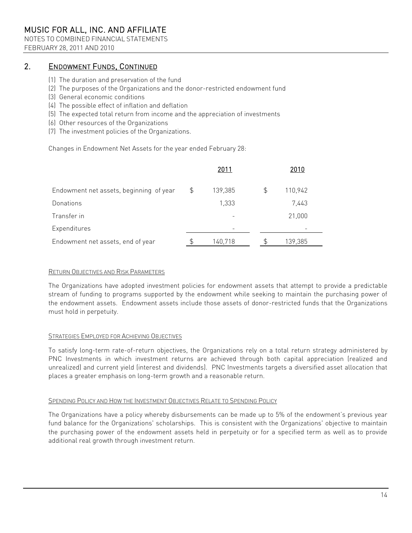NOTES TO COMBINED FINANCIAL STATEMENTS FEBRUARY 28, 2011 AND 2010

#### 2. ENDOWMENT FUNDS, CONTINUED

- (1) The duration and preservation of the fund
- (2) The purposes of the Organizations and the donor-restricted endowment fund
- (3) General economic conditions
- (4) The possible effect of inflation and deflation
- (5) The expected total return from income and the appreciation of investments
- (6) Other resources of the Organizations
- (7) The investment policies of the Organizations.

Changes in Endowment Net Assets for the year ended February 28:

|                                         | 2011          |    | 2010    |  |
|-----------------------------------------|---------------|----|---------|--|
| Endowment net assets, beginning of year | \$<br>139,385 | \$ | 110,942 |  |
| Donations                               | 1,333         |    | 7,443   |  |
| Transfer in                             |               |    | 21,000  |  |
| Expenditures                            |               |    |         |  |
| Endowment net assets, end of year       | 140,718       | S. | 139,385 |  |

### RETURN OBJECTIVES AND RISK PARAMETERS

The Organizations have adopted investment policies for endowment assets that attempt to provide a predictable stream of funding to programs supported by the endowment while seeking to maintain the purchasing power of the endowment assets. Endowment assets include those assets of donor-restricted funds that the Organizations must hold in perpetuity.

### STRATEGIES EMPLOYED FOR ACHIEVING OBJECTIVES

To satisfy long-term rate-of-return objectives, the Organizations rely on a total return strategy administered by PNC Investments in which investment returns are achieved through both capital appreciation (realized and unrealized) and current yield (interest and dividends). PNC Investments targets a diversified asset allocation that places a greater emphasis on long-term growth and a reasonable return.

### SPENDING POLICY AND HOW THE INVESTMENT OBJECTIVES RELATE TO SPENDING POLICY

The Organizations have a policy whereby disbursements can be made up to 5% of the endowment's previous year fund balance for the Organizations' scholarships. This is consistent with the Organizations' objective to maintain the purchasing power of the endowment assets held in perpetuity or for a specified term as well as to provide additional real growth through investment return.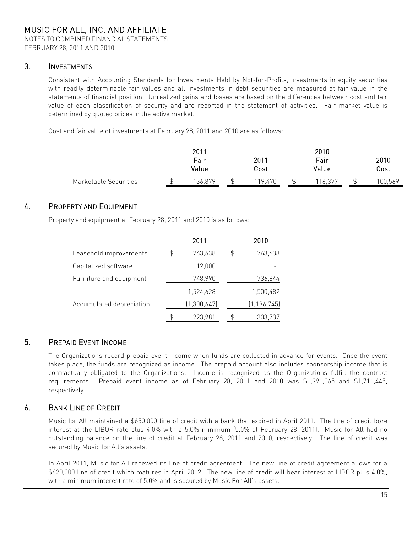#### 3. **INVESTMENTS**

Consistent with Accounting Standards for Investments Held by Not-for-Profits, investments in equity securities with readily determinable fair values and all investments in debt securities are measured at fair value in the statements of financial position. Unrealized gains and losses are based on the differences between cost and fair value of each classification of security and are reported in the statement of activities. Fair market value is determined by quoted prices in the active market.

Cost and fair value of investments at February 28, 2011 and 2010 are as follows:

|                       |   | 2011    |    |             |  | 2010   |  |             |  |
|-----------------------|---|---------|----|-------------|--|--------|--|-------------|--|
|                       |   | Fair    |    | 2011        |  | Fair   |  | 2010        |  |
|                       |   | Value   |    | <u>Cost</u> |  | Value  |  | <u>Cost</u> |  |
| Marketable Securities | ፍ | 136,879 | \$ | 119.470     |  | 16,377 |  | 100,569     |  |

#### 4. PROPERTY AND EQUIPMENT

Property and equipment at February 28, 2011 and 2010 is as follows:

|                          |    | 2011        |    | 2010          |
|--------------------------|----|-------------|----|---------------|
| Leasehold improvements   | \$ | 763,638     | \$ | 763,638       |
| Capitalized software     |    | 12,000      |    |               |
| Furniture and equipment  |    | 748,990     |    | 736,844       |
|                          |    | 1,524,628   |    | 1,500,482     |
| Accumulated depreciation |    | (1,300,647) |    | (1, 196, 745) |
|                          | S  | 223,981     | S  | 303,737       |

#### 5. PREPAID EVENT INCOME

The Organizations record prepaid event income when funds are collected in advance for events. Once the event takes place, the funds are recognized as income. The prepaid account also includes sponsorship income that is contractually obligated to the Organizations. Income is recognized as the Organizations fulfill the contract requirements. Prepaid event income as of February 28, 2011 and 2010 was \$1,991,065 and \$1,711,445, respectively.

#### 6. BANK LINE OF CREDIT

Music for All maintained a \$650,000 line of credit with a bank that expired in April 2011. The line of credit bore interest at the LIBOR rate plus 4.0% with a 5.0% minimum (5.0% at February 28, 2011). Music for All had no outstanding balance on the line of credit at February 28, 2011 and 2010, respectively. The line of credit was secured by Music for All's assets.

In April 2011, Music for All renewed its line of credit agreement. The new line of credit agreement allows for a \$620,000 line of credit which matures in April 2012. The new line of credit will bear interest at LIBOR plus 4.0%, with a minimum interest rate of 5.0% and is secured by Music For All's assets.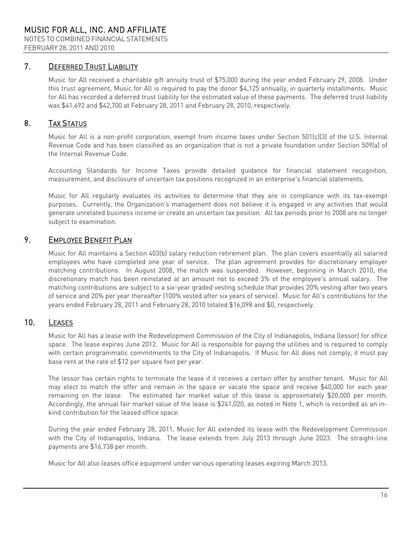#### 7. **DEFERRED TRUST LIABILITY**

Music for All received a charitable gift annuity trust of \$75,000 during the year ended February 29, 2008. Under this trust agreement, Music for All is required to pay the donor \$4,125 annually, in quarterly installments. Music for All has recorded a deferred trust liability for the estimated value of these payments. The deferred trust liability was \$41,692 and \$42,700 at February 28, 2011 and February 28, 2010, respectively.

#### 8. TAX STATUS

Music for All is a non-profit corporation, exempt from income taxes under Section 501(c)(3) of the U.S. Internal Revenue Code and has been classified as an organization that is not a private foundation under Section 509(a) of the Internal Revenue Code.

Accounting Standards for Income Taxes provide detailed guidance for financial statement recognition, measurement, and disclosure of uncertain tax positions recognized in an enterprise's financial statements.

Music for All regularly evaluates its activities to determine that they are in compliance with its tax-exempt purposes. Currently, the Organization's management does not believe it is engaged in any activities that would generate unrelated business income or create an uncertain tax position. All tax periods prior to 2008 are no longer subject to examination.

#### 9. EMPLOYEE BENEFIT PLAN

Music for All maintains a Section 403(b) salary reduction retirement plan. The plan covers essentially all salaried employees who have completed one year of service. The plan agreement provides for discretionary employer matching contributions. In August 2008, the match was suspended. However, beginning in March 2010, the discretionary match has been reinstated at an amount not to exceed 3% of the employee's annual salary. The matching contributions are subject to a six-year graded vesting schedule that provides 20% vesting after two years of service and 20% per year thereafter (100% vested after six years of service). Music for All's contributions for the years ended February 28, 2011 and February 28, 2010 totaled \$16,098 and \$0, respectively.

#### 10. LEASES

Music for All has a lease with the Redevelopment Commission of the City of Indianapolis, Indiana (lessor) for office space. The lease expires June 2012. Music for All is responsible for paying the utilities and is required to comply with certain programmatic commitments to the City of Indianapolis. If Music for All does not comply, it must pay base rent at the rate of \$12 per square foot per year.

The lessor has certain rights to terminate the lease if it receives a certain offer by another tenant. Music for All may elect to match the offer and remain in the space or vacate the space and receive \$40,000 for each year remaining on the lease. The estimated fair market value of this lease is approximately \$20,000 per month. Accordingly, the annual fair market value of the lease is \$241,020, as noted in Note 1, which is recorded as an inkind contribution for the leased office space.

During the year ended February 28, 2011, Music for All extended its lease with the Redevelopment Commission with the City of Indianapolis, Indiana. The lease extends from July 2013 through June 2023. The straight-line payments are \$16,738 per month.

Music for All also leases office equipment under various operating leases expiring March 2013.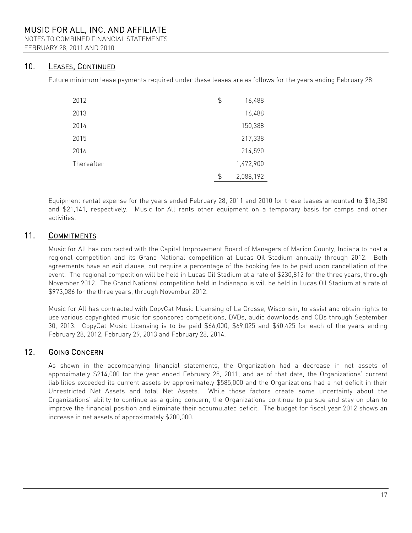NOTES TO COMBINED FINANCIAL STATEMENTS FEBRUARY 28, 2011 AND 2010

#### 10. LEASES, CONTINUED

Future minimum lease payments required under these leases are as follows for the years ending February 28:

| 2012       | \$<br>16,488    |
|------------|-----------------|
| 2013       | 16,488          |
| 2014       | 150,388         |
| 2015       | 217,338         |
| 2016       | 214,590         |
| Thereafter | 1,472,900       |
|            | \$<br>2,088,192 |

Equipment rental expense for the years ended February 28, 2011 and 2010 for these leases amounted to \$16,380 and \$21,141, respectively. Music for All rents other equipment on a temporary basis for camps and other activities.

#### 11. COMMITMENTS

Music for All has contracted with the Capital Improvement Board of Managers of Marion County, Indiana to host a regional competition and its Grand National competition at Lucas Oil Stadium annually through 2012. Both agreements have an exit clause, but require a percentage of the booking fee to be paid upon cancellation of the event. The regional competition will be held in Lucas Oil Stadium at a rate of \$230,812 for the three years, through November 2012. The Grand National competition held in Indianapolis will be held in Lucas Oil Stadium at a rate of \$973,086 for the three years, through November 2012.

Music for All has contracted with CopyCat Music Licensing of La Crosse, Wisconsin, to assist and obtain rights to use various copyrighted music for sponsored competitions, DVDs, audio downloads and CDs through September 30, 2013. CopyCat Music Licensing is to be paid \$66,000, \$69,025 and \$40,425 for each of the years ending February 28, 2012, February 29, 2013 and February 28, 2014.

#### 12. GOING CONCERN

As shown in the accompanying financial statements, the Organization had a decrease in net assets of approximately \$214,000 for the year ended February 28, 2011, and as of that date, the Organizations' current liabilities exceeded its current assets by approximately \$585,000 and the Organizations had a net deficit in their Unrestricted Net Assets and total Net Assets. While those factors create some uncertainty about the Organizations' ability to continue as a going concern, the Organizations continue to pursue and stay on plan to improve the financial position and eliminate their accumulated deficit. The budget for fiscal year 2012 shows an increase in net assets of approximately \$200,000.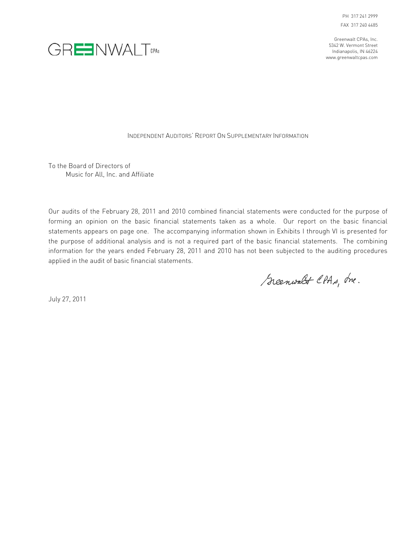



INDEPENDENT AUDITORS' REPORT ON SUPPLEMENTARY INFORMATION

To the Board of Directors of Music for All, Inc. and Affiliate

Our audits of the February 28, 2011 and 2010 combined financial statements were conducted for the purpose of forming an opinion on the basic financial statements taken as a whole. Our report on the basic financial statements appears on page one. The accompanying information shown in Exhibits I through VI is presented for the purpose of additional analysis and is not a required part of the basic financial statements. The combining information for the years ended February 28, 2011 and 2010 has not been subjected to the auditing procedures applied in the audit of basic financial statements.

Scenwalt CPAs, Ine.

July 27, 2011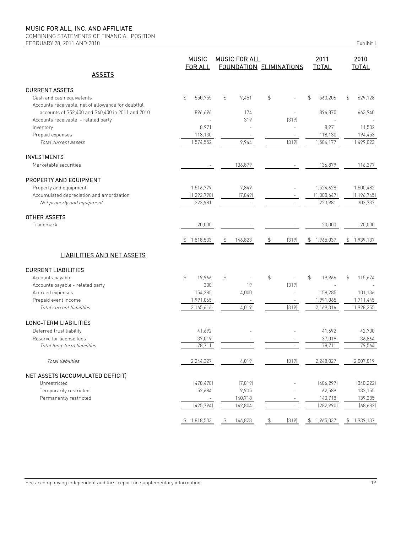COMBINING STATEMENTS OF FINANCIAL POSITION FEBRUARY 28, 2011 AND 2010

|  | г |  |
|--|---|--|
|  |   |  |

|                                                    | <b>MUSIC</b><br><b>FOR ALL</b> | <b>MUSIC FOR ALL</b><br><b>FOUNDATION ELIMINATIONS</b> |                          |               |                          | 2011<br><b>TOTAL</b>      | 2010<br><b>TOTAL</b> |  |
|----------------------------------------------------|--------------------------------|--------------------------------------------------------|--------------------------|---------------|--------------------------|---------------------------|----------------------|--|
| <b>ASSETS</b>                                      |                                |                                                        |                          |               |                          |                           |                      |  |
| <b>CURRENT ASSETS</b>                              |                                |                                                        |                          |               |                          |                           |                      |  |
| Cash and cash equivalents                          | \$<br>550,755                  | \$                                                     | 9,451                    | $\frac{1}{2}$ |                          | $\mathfrak{D}$<br>560,206 | \$<br>629,128        |  |
| Accounts receivable, net of allowance for doubtful |                                |                                                        |                          |               |                          |                           |                      |  |
| accounts of \$52,400 and \$40,400 in 2011 and 2010 | 896,696                        |                                                        | 174                      |               |                          | 896,870                   | 663,940              |  |
| Accounts receivable - related party                |                                |                                                        | 319                      |               | (319)                    |                           |                      |  |
| Inventory                                          | 8,971                          |                                                        |                          |               | L,                       | 8,971                     | 11,502               |  |
| Prepaid expenses                                   | 118,130                        |                                                        |                          |               |                          | 118,130                   | 194,453              |  |
| Total current assets                               | 1,574,552                      |                                                        | 9,944                    |               | (319)                    | 1,584,177                 | 1,499,023            |  |
| <b>INVESTMENTS</b>                                 |                                |                                                        |                          |               |                          |                           |                      |  |
| Marketable securities                              |                                |                                                        | 136,879                  |               |                          | 136,879                   | 116,377              |  |
| PROPERTY AND EQUIPMENT                             |                                |                                                        |                          |               |                          |                           |                      |  |
| Property and equipment                             | 1,516,779                      |                                                        | 7,849                    |               |                          | 1,524,628                 | 1,500,482            |  |
| Accumulated depreciation and amortization          | (1, 292, 798)                  |                                                        | (7, 849)                 |               |                          | (1,300,647)               | (1, 196, 745)        |  |
| Net property and equipment                         | 223,981                        |                                                        |                          |               |                          | 223,981                   | 303,737              |  |
| OTHER ASSETS                                       |                                |                                                        |                          |               |                          |                           |                      |  |
| Trademark                                          | 20,000                         |                                                        |                          |               |                          | 20,000                    | 20,000               |  |
|                                                    | 1,818,533<br>\$                | \$                                                     | 146,823                  | \$            | (319)                    | 1,965,037<br>\$           | 1,939,137<br>\$      |  |
| <b>LIABILITIES AND NET ASSETS</b>                  |                                |                                                        |                          |               |                          |                           |                      |  |
| <b>CURRENT LIABILITIES</b>                         |                                |                                                        |                          |               |                          |                           |                      |  |
| Accounts payable                                   | \$<br>19,966                   | \$                                                     |                          | $\frac{1}{2}$ |                          | \$<br>19,966              | 115,674<br>\$        |  |
| Accounts payable - related party                   | 300                            |                                                        | 19                       |               | (319)                    |                           |                      |  |
| Accrued expenses                                   | 154,285                        |                                                        | 4,000                    |               | $\overline{a}$           | 158,285                   | 101,136              |  |
| Prepaid event income                               | 1,991,065                      |                                                        | $\overline{\phantom{a}}$ |               | $\overline{\phantom{a}}$ | 1,991,065                 | 1,711,445            |  |
| Total current liabilities                          | 2,165,616                      |                                                        | 4,019                    |               | (319)                    | 2,169,316                 | 1,928,255            |  |
| <b>LONG-TERM LIABILITIES</b>                       |                                |                                                        |                          |               |                          |                           |                      |  |
| Deferred trust liability                           | 41,692                         |                                                        |                          |               |                          | 41,692                    | 42,700               |  |
| Reserve for license fees                           | 37,019                         |                                                        |                          |               |                          | 37,019                    | 36,864               |  |
| Total long-term liabilities                        | 78,711                         |                                                        |                          |               |                          | 78,711                    | 79,564               |  |
| Total liabilities                                  | 2,244,327                      |                                                        | 4,019                    |               | (319)                    | 2,248,027                 | 2,007,819            |  |
| NET ASSETS (ACCUMULATED DEFICIT)                   |                                |                                                        |                          |               |                          |                           |                      |  |
| Unrestricted                                       | (478, 478)                     |                                                        | (7, 819)                 |               |                          | [486, 297]                | (340, 222)           |  |
| Temporarily restricted                             | 52,684                         |                                                        | 9,905                    |               |                          | 62,589                    | 132,155              |  |
| Permanently restricted                             |                                |                                                        | 140,718                  |               |                          | 140,718                   | 139,385              |  |
|                                                    | (425, 794)                     |                                                        | 142,804                  |               | $\overline{\phantom{a}}$ | (282,990)                 | (68, 682)            |  |
|                                                    | \$1,818,533                    | \$                                                     | 146,823                  | \$            | (319)                    | \$1,965,037               | \$1,939,137          |  |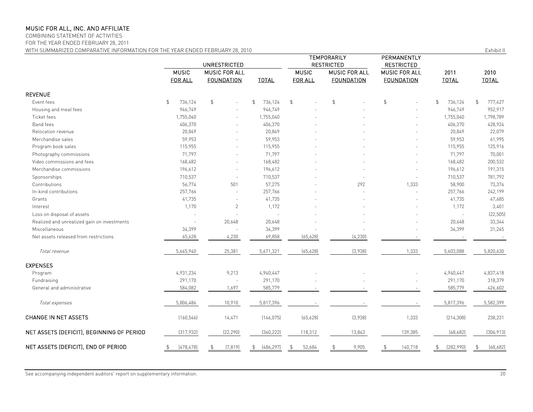COMBINING STATEMENT OF ACTIVITIES

FOR THE YEAR ENDED FEBRUARY 28, 2011

WITH SUMMARIZED COMPARATIVE INFORMATION FOR THE YEAR ENDED FEBRUARY 28, 2010 **Exhibit II** Exhibit II

|                                             | UNRESTRICTED            |                                           |                           |                                | TEMPORARILY<br><b>RESTRICTED</b>          | PERMANENTLY<br><b>RESTRICTED</b>          |                      |                      |  |
|---------------------------------------------|-------------------------|-------------------------------------------|---------------------------|--------------------------------|-------------------------------------------|-------------------------------------------|----------------------|----------------------|--|
|                                             | <b>MUSIC</b><br>FOR ALL | <b>MUSIC FOR ALL</b><br><b>FOUNDATION</b> | <b>TOTAL</b>              | <b>MUSIC</b><br><b>FOR ALL</b> | <b>MUSIC FOR ALL</b><br><b>FOUNDATION</b> | <b>MUSIC FOR ALL</b><br><b>FOUNDATION</b> | 2011<br><b>TOTAL</b> | 2010<br><b>TOTAL</b> |  |
| <b>REVENUE</b>                              |                         |                                           |                           |                                |                                           |                                           |                      |                      |  |
| Event fees                                  | \$<br>736,124           | \$                                        | $\mathfrak{S}$<br>736,124 | $\mathfrak{D}$                 | $\mathfrak{S}$                            | $\mathfrak{S}$                            | \$<br>736,124        | 777,627<br>\$        |  |
| Housing and meal fees                       | 946,749                 |                                           | 946,749                   |                                |                                           |                                           | 946,749              | 952,917              |  |
| Ticket fees                                 | 1,755,040               |                                           | 1,755,040                 |                                |                                           |                                           | 1,755,040            | 1,798,789            |  |
| Band fees                                   | 406,370                 |                                           | 406,370                   |                                |                                           |                                           | 406,370              | 428,924              |  |
| Relocation revenue                          | 20,849                  |                                           | 20,849                    |                                |                                           |                                           | 20,849               | 22,079               |  |
| Merchandise sales                           | 59,953                  |                                           | 59,953                    |                                |                                           |                                           | 59,953               | 61,995               |  |
| Program book sales                          | 115,955                 |                                           | 115,955                   |                                |                                           |                                           | 115,955              | 125,916              |  |
| Photography commissions                     | 71,797                  |                                           | 71,797                    |                                |                                           |                                           | 71,797               | 70,001               |  |
| Video commissions and fees                  | 168,482                 | ÷.                                        | 168,482                   |                                |                                           |                                           | 168,482              | 200,532              |  |
| Merchandise commissions                     | 196,612                 |                                           | 196,612                   |                                |                                           |                                           | 196,612              | 191,315              |  |
| Sponsorships                                | 710,537                 | ÷,                                        | 710,537                   |                                |                                           |                                           | 710,537              | 781,792              |  |
| Contributions                               | 56,774                  | 501                                       | 57,275                    |                                | 292                                       | 1,333                                     | 58,900               | 73,374               |  |
| In-kind contributions                       | 257,766                 | ÷,                                        | 257,766                   |                                |                                           | ÷.                                        | 257,766              | 242,199              |  |
| Grants                                      | 41,735                  |                                           | 41,735                    |                                |                                           |                                           | 41,735               | 47,685               |  |
| Interest                                    | 1,170                   | $\mathbf{2}$                              | 1,172                     |                                |                                           |                                           | 1,172                | 3,401                |  |
| Loss on disposal of assets                  |                         |                                           | ÷.                        |                                |                                           |                                           | $\sim$               | (22, 505)            |  |
| Realized and unrealized gain on investments |                         | 20,648                                    | 20,648                    |                                |                                           |                                           | 20,648               | 33,344               |  |
| Miscellaneous                               | 34,399                  |                                           | 34,399                    |                                |                                           |                                           | 34,399               | 31,245               |  |
| Net assets released from restrictions       | 65,628                  | 4,230                                     | 69,858                    | (65, 628)                      | (4, 230)                                  |                                           |                      |                      |  |
| Total revenue                               | 5,645,940               | 25,381                                    | 5,671,321                 | (65, 628)                      | (3,938)                                   | 1,333                                     | 5,603,088            | 5,820,630            |  |
| <b>EXPENSES</b>                             |                         |                                           |                           |                                |                                           |                                           |                      |                      |  |
| Program                                     | 4,931,234               | 9,213                                     | 4,940,447                 |                                |                                           |                                           | 4,940,447            | 4,837,418            |  |
| Fundraising                                 | 291,170                 |                                           | 291,170                   |                                |                                           |                                           | 291,170              | 318,379              |  |
| General and administrative                  | 584,082                 | 1,697                                     | 585,779                   |                                |                                           |                                           | 585,779              | 426,602              |  |
| Total expenses                              | 5,806,486               | 10,910                                    | 5,817,396                 |                                |                                           |                                           | 5,817,396            | 5,582,399            |  |
| CHANGE IN NET ASSETS                        | (160, 546)              | 14,471                                    | (146, 075)                | (65, 628)                      | (3,938)                                   | 1,333                                     | (214, 308)           | 238,231              |  |
| NET ASSETS (DEFICIT), BEGINNING OF PERIOD   | (317, 932)              | (22, 290)                                 | [340, 222]                | 118,312                        | 13,843                                    | 139,385                                   | (68, 682)            | (306, 913)           |  |
| NET ASSETS (DEFICIT), END OF PERIOD         | (478, 478)              | (7, 819)                                  | (486, 297)<br>S           | 52,684                         | 9,905                                     | 140,718                                   | (282,990)            | (68, 682)            |  |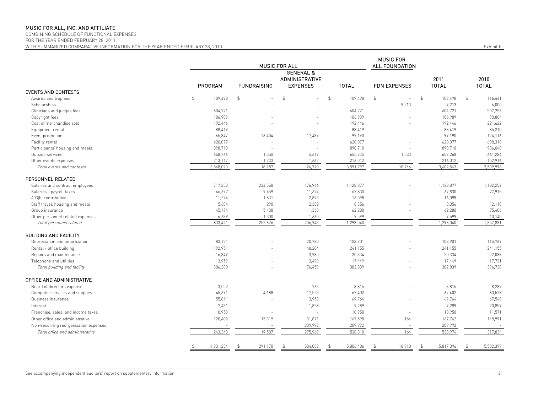COMBINING SCHEDULE OF FUNCTIONAL EXPENSES

FOR THE YEAR ENDED FEBRUARY 28, 2011

MUSIC FOR ALL FOUNDATION GENERAL & ADMINISTRATIVE 2011 2010 PROGRAM FUNDRAISING EXPENSES TOTAL FDN EXPENSES TOTAL TOTAL EVENTS AND CONTESTS Awards and trophies \$ 109,498 \$ - \$ - \$ 109,498 \$ - \$ 109,498 \$ 116,441 Scholarships - - - - 9,213 9,213 6,000 Clinicians and judges fees 604,721 604,721 604,721 607,253 Copyright fees 106,989 - - 106,989 - 106,989 90,804 Cost of merchandise sold 192,446 - - 192,446 - 192,446 - 192,446 - 192,446 - 192,446 - 192,446 - 192,446 221,622 Equipment rental 88,419 88,419 88,419 85,210 Event promotion 65,347 16,404 17,439 99,190 - 99,190 124,116 Facility rental 620,077 - - 620,077 - 620,077 608,310 Participants' housing and meals and the same state of the set of the set of the set of the set of the set of the set of the set of the set of the set of the set of the set of the set of the set of the set of the set of the Outside services 648,766 1,350 5,619 655,735 1,533 657,268 661,284 Other events expenses 213,117 1,233 1,662 216,012 - 216,012 152,916 Total events and contests and the state of the state 3,509,996 3,548,090 3,597,997 3,591,797 3,597,996 3,602,543 3,509,996 3,602,543 3,509,996 3,602,543 3,509,996 3,602,543 3,509,996 3,602,543 3,509,996 3,602,543 3,509,996 PERSONNEL RELATED Salaries and contract employees **717,953** 234,558 176,966 1,128,877 1,128,877 1,128,877 1,128,877 1,182,252 Salaries - payroll taxes 46,697 11,674 67,830 77,915 403(b) contribution 11,574 1,631 2,893 16,098 16,098 -Staff travel, housing and meals 5,684 290 2,382 8,356 - 8,356 12,118 Group insurance 45,474 5,438 62,280 75,406 Other personnel related expenses 6 1,140 1,300 1,660 9,599 - 9,599 9,599 9,599 9,599 9,599 9,599 9,599 10,140 Total personnel related 833,421 833,421 252,676 206,943 1,293,040 1,293,040 1,293,040 1,293,040 1,357,831 7 7 7 7 7 831 BUILDING AND FACILITY Pereciation and amortization and amortization 83,121 115,769 103,901 103,901 103,901 103,901 115,769 115,769 Rental - office building 192,951 48,204 241,155 241,155 241,155 Repairs and maintenance 16,349 3,985 20,334 22,083 22,083 Telephone and utilities 13,959 3,490 17,731 Total building and facility 306,380 362,839 382,839 396,738 OFFICE AND ADMINISTRATIVE Board of directors expense 3,052 - 763 3,815 - 3,815 8,287 Computer services and supplies and supplies and the computer services and supplies that the computer services and supplies and the computer services and supplies and the computer services and supplies and the computer serv Business insurance 55,811 13,953 69,764 69,764 67,548 Interest 7,431 - 1,858 9,289 - 9,289 20,859 Franchise, sales, and income taxes and income taxes and the same taxes of the control of the control of the control of the control of the control of the control of the control of the control of the control of the control o Other office and administrative 120,991 148,991 120,408 15,319 16,319 167,598 164 167,598 164 167,762 148,991 Non-recurring reorganization expenses 209,992 209,992 209,992 209,992 209,992 209,992 209,992 209,992 209,992 209,992 209,992 209,992 209,992 209,992 209,992 209,992 209,992 209,992 209,992 209,992 209,992 209,992 209,992 Potal office and administrative 258,974 243,343 19,507 275,960 538,810 164 538,974 538,974 317,834 \$ 4,931,234 \$ 291,170 \$ 584,082 \$ 5,806,486 \$ 10,910 \$ 5,817,396 \$ 5,582,399 MUSIC FOR ALL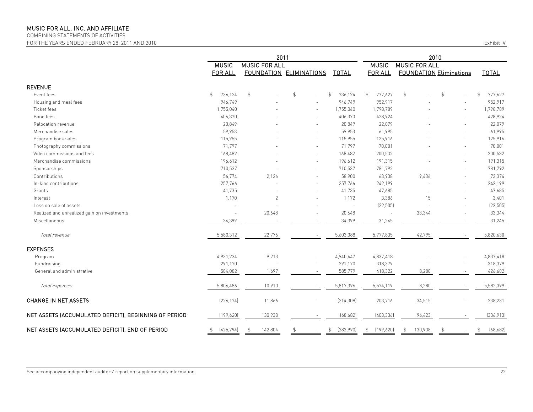COMBINING STATEMENTS OF ACTIVITIES

FOR THE YEARS ENDED FEBRUARY 28, 2011 AND 2010

| <b>Exhibit IV</b> |  |  |
|-------------------|--|--|
|                   |  |  |

|                                                       | 2011                      |                      |                         |                           | 2010                      |                                |    |                           |
|-------------------------------------------------------|---------------------------|----------------------|-------------------------|---------------------------|---------------------------|--------------------------------|----|---------------------------|
|                                                       | <b>MUSIC</b>              | <b>MUSIC FOR ALL</b> |                         | <b>MUSIC</b>              | <b>MUSIC FOR ALL</b>      |                                |    |                           |
|                                                       | <b>FOR ALL</b>            |                      | FOUNDATION ELIMINATIONS | <b>TOTAL</b>              | <b>FOR ALL</b>            | <b>FOUNDATION Eliminations</b> |    | <b>TOTAL</b>              |
| <b>REVENUE</b>                                        |                           |                      |                         |                           |                           |                                |    |                           |
| Event fees                                            | 736,124<br>$\mathfrak{L}$ | $\mathfrak{S}$       | $\mathfrak{S}$          | 736,124<br>$\mathfrak{S}$ | $\mathfrak{P}$<br>777,627 | $\mathfrak{D}$                 | \$ | $\mathfrak{S}$<br>777,627 |
| Housing and meal fees                                 | 946,749                   |                      |                         | 946,749                   | 952,917                   |                                |    | 952,917                   |
| Ticket fees                                           | 1,755,040                 |                      | ÷.                      | 1,755,040                 | 1,798,789                 |                                |    | 1,798,789                 |
| Band fees                                             | 406,370                   |                      |                         | 406,370                   | 428,924                   |                                |    | 428,924                   |
| Relocation revenue                                    | 20,849                    |                      | $\overline{a}$          | 20,849                    | 22,079                    |                                |    | 22,079                    |
| Merchandise sales                                     | 59,953                    |                      |                         | 59,953                    | 61,995                    |                                |    | 61,995                    |
| Program book sales                                    | 115,955                   |                      | ÷.                      | 115,955                   | 125,916                   |                                |    | 125,916                   |
| Photography commissions                               | 71,797                    |                      |                         | 71,797                    | 70,001                    |                                |    | 70,001                    |
| Video commissions and fees                            | 168,482                   |                      | $\sim$                  | 168,482                   | 200,532                   |                                |    | 200,532                   |
| Merchandise commissions                               | 196,612                   |                      |                         | 196,612                   | 191,315                   |                                |    | 191,315                   |
| Sponsorships                                          | 710,537                   |                      |                         | 710,537                   | 781,792                   |                                |    | 781,792                   |
| Contributions                                         | 56,774                    | 2,126                |                         | 58,900                    | 63,938                    | 9,436                          |    | 73,374                    |
| In-kind contributions                                 | 257,766                   |                      |                         | 257,766                   | 242,199                   |                                |    | 242,199                   |
| Grants                                                | 41,735                    |                      |                         | 41,735                    | 47,685                    |                                |    | 47,685                    |
| Interest                                              | 1,170                     | $\overline{2}$       |                         | 1,172                     | 3,386                     | 15                             |    | 3,401                     |
| Loss on sale of assets                                |                           |                      |                         | $\sim$                    | (22, 505)                 |                                |    | (22, 505)                 |
| Realized and unrealized gain on investments           |                           | 20,648               |                         | 20,648                    | ×.                        | 33,344                         |    | 33,344                    |
| Miscellaneous                                         | 34,399                    |                      |                         | 34,399                    | 31,245                    |                                |    | 31,245                    |
| Total revenue                                         | 5,580,312                 | 22,776               |                         | 5,603,088                 | 5,777,835                 | 42,795                         |    | 5,820,630                 |
| <b>EXPENSES</b>                                       |                           |                      |                         |                           |                           |                                |    |                           |
| Program                                               | 4,931,234                 | 9,213                |                         | 4,940,447                 | 4,837,418                 |                                |    | 4,837,418                 |
| Fundraising                                           | 291,170                   |                      |                         | 291,170                   | 318,379                   |                                |    | 318,379                   |
| General and administrative                            | 584,082                   | 1,697                |                         | 585,779                   | 418,322                   | 8,280                          |    | 426,602                   |
| Total expenses                                        | 5,806,486                 | 10,910               |                         | 5,817,396                 | 5,574,119                 | 8,280                          |    | 5,582,399                 |
| <b>CHANGE IN NET ASSETS</b>                           | [226, 174]                | 11,866               | $\overline{a}$          | [214, 308]                | 203,716                   | 34,515                         |    | 238,231                   |
| NET ASSETS (ACCUMULATED DEFICIT), BEGINNING OF PERIOD | (199, 620)                | 130,938              |                         | (68, 682)                 | (403, 336)                | 96,423                         |    | (306, 913)                |
| NET ASSETS (ACCUMULATED DEFICIT), END OF PERIOD       | \$<br>[425, 794]          | 142,804              | $\mathfrak{S}$          | (282,990)<br>\$           | \$<br>(199, 620)          | 130,938<br>$\mathfrak{L}$      | \$ | (68, 682)<br>\$           |

See accompanying independent auditors' report on supplementary information. 22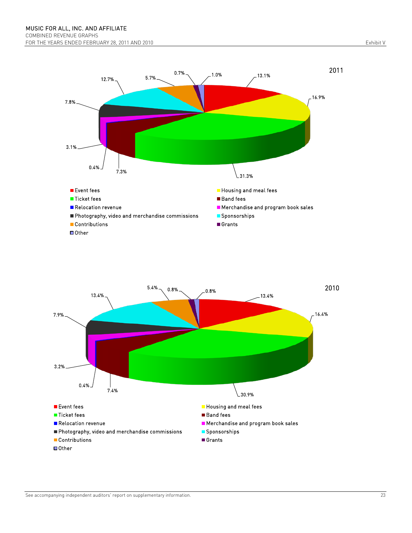



See accompanying independent auditors' report on supplementary information. 23